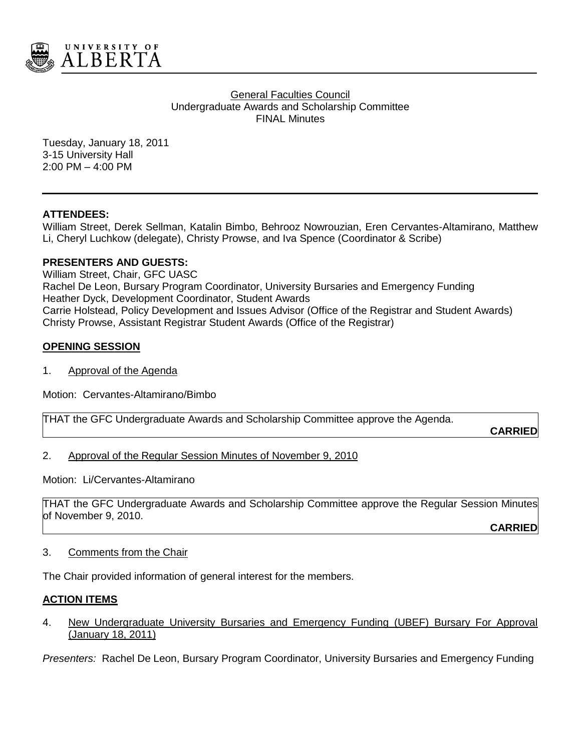

#### General Faculties Council Undergraduate Awards and Scholarship Committee FINAL Minutes

Tuesday, January 18, 2011 3-15 University Hall 2:00 PM – 4:00 PM

# **ATTENDEES:**

William Street, Derek Sellman, Katalin Bimbo, Behrooz Nowrouzian, Eren Cervantes-Altamirano, Matthew Li, Cheryl Luchkow (delegate), Christy Prowse, and Iva Spence (Coordinator & Scribe)

# **PRESENTERS AND GUESTS:**

William Street, Chair, GFC UASC Rachel De Leon, Bursary Program Coordinator, University Bursaries and Emergency Funding Heather Dyck, Development Coordinator, Student Awards Carrie Holstead, Policy Development and Issues Advisor (Office of the Registrar and Student Awards) Christy Prowse, Assistant Registrar Student Awards (Office of the Registrar)

# **OPENING SESSION**

1. Approval of the Agenda

Motion: Cervantes-Altamirano/Bimbo

THAT the GFC Undergraduate Awards and Scholarship Committee approve the Agenda.

**CARRIED**

# 2. Approval of the Regular Session Minutes of November 9, 2010

Motion: Li/Cervantes-Altamirano

THAT the GFC Undergraduate Awards and Scholarship Committee approve the Regular Session Minutes of November 9, 2010.

**CARRIED**

## 3. Comments from the Chair

The Chair provided information of general interest for the members.

## **ACTION ITEMS**

4. New Undergraduate University Bursaries and Emergency Funding (UBEF) Bursary For Approval (January 18, 2011)

*Presenters:* Rachel De Leon, Bursary Program Coordinator, University Bursaries and Emergency Funding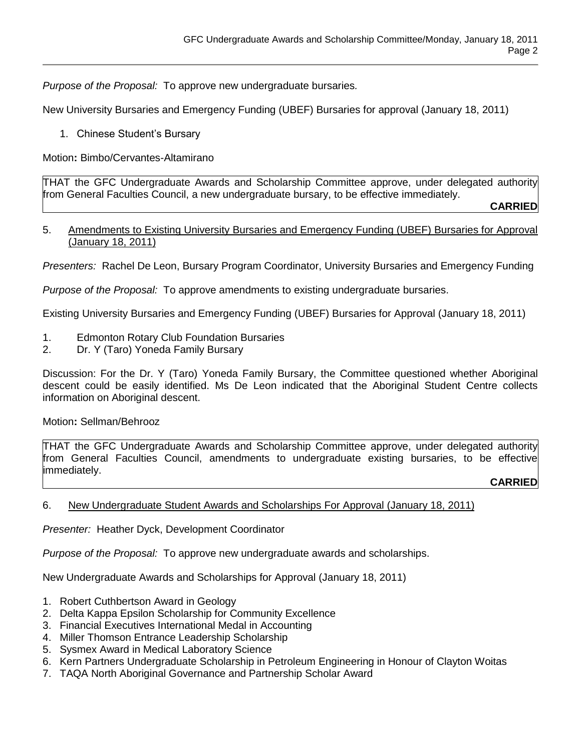*Purpose of the Proposal:* To approve new undergraduate bursaries*.*

New University Bursaries and Emergency Funding (UBEF) Bursaries for approval (January 18, 2011)

1. Chinese Student's Bursary

Motion**:** Bimbo/Cervantes-Altamirano

THAT the GFC Undergraduate Awards and Scholarship Committee approve, under delegated authority from General Faculties Council, a new undergraduate bursary, to be effective immediately.

**CARRIED**

#### 5. Amendments to Existing University Bursaries and Emergency Funding (UBEF) Bursaries for Approval (January 18, 2011)

*Presenters:* Rachel De Leon, Bursary Program Coordinator, University Bursaries and Emergency Funding

*Purpose of the Proposal:* To approve amendments to existing undergraduate bursaries.

Existing University Bursaries and Emergency Funding (UBEF) Bursaries for Approval (January 18, 2011)

- 1. Edmonton Rotary Club Foundation Bursaries
- 2. Dr. Y (Taro) Yoneda Family Bursary

Discussion: For the Dr. Y (Taro) Yoneda Family Bursary, the Committee questioned whether Aboriginal descent could be easily identified. Ms De Leon indicated that the Aboriginal Student Centre collects information on Aboriginal descent.

## Motion**:** Sellman/Behrooz

THAT the GFC Undergraduate Awards and Scholarship Committee approve, under delegated authority from General Faculties Council, amendments to undergraduate existing bursaries, to be effective immediately.

## **CARRIED**

## 6. New Undergraduate Student Awards and Scholarships For Approval (January 18, 2011)

*Presenter:* Heather Dyck, Development Coordinator

*Purpose of the Proposal:* To approve new undergraduate awards and scholarships.

New Undergraduate Awards and Scholarships for Approval (January 18, 2011)

- 1. Robert Cuthbertson Award in Geology
- 2. Delta Kappa Epsilon Scholarship for Community Excellence
- 3. Financial Executives International Medal in Accounting
- 4. Miller Thomson Entrance Leadership Scholarship
- 5. Sysmex Award in Medical Laboratory Science
- 6. Kern Partners Undergraduate Scholarship in Petroleum Engineering in Honour of Clayton Woitas
- 7. TAQA North Aboriginal Governance and Partnership Scholar Award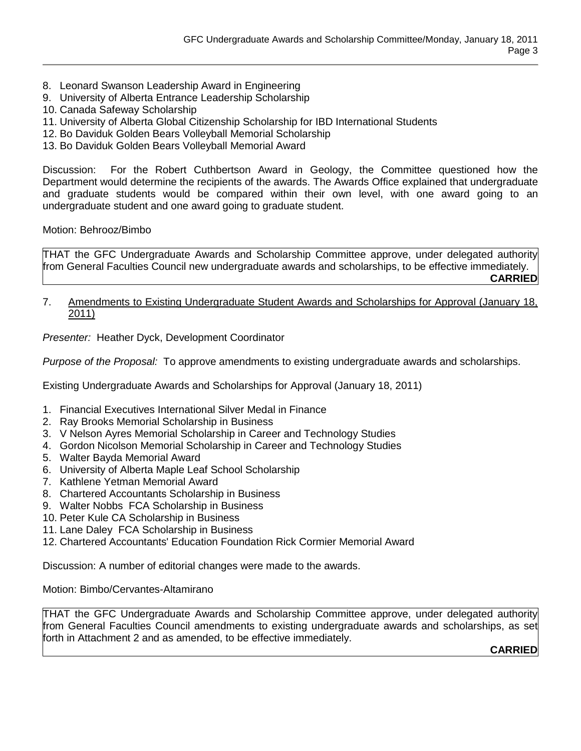- 8. Leonard Swanson Leadership Award in Engineering
- 9. University of Alberta Entrance Leadership Scholarship
- 10. Canada Safeway Scholarship
- 11. University of Alberta Global Citizenship Scholarship for IBD International Students
- 12. Bo Daviduk Golden Bears Volleyball Memorial Scholarship
- 13. Bo Daviduk Golden Bears Volleyball Memorial Award

Discussion: For the Robert Cuthbertson Award in Geology, the Committee questioned how the Department would determine the recipients of the awards. The Awards Office explained that undergraduate and graduate students would be compared within their own level, with one award going to an undergraduate student and one award going to graduate student.

Motion: Behrooz/Bimbo

THAT the GFC Undergraduate Awards and Scholarship Committee approve, under delegated authority from General Faculties Council new undergraduate awards and scholarships, to be effective immediately. **CARRIED**

#### 7. Amendments to Existing Undergraduate Student Awards and Scholarships for Approval (January 18, 2011)

*Presenter:* Heather Dyck, Development Coordinator

*Purpose of the Proposal:* To approve amendments to existing undergraduate awards and scholarships.

Existing Undergraduate Awards and Scholarships for Approval (January 18, 2011)

- 1. Financial Executives International Silver Medal in Finance
- 2. Ray Brooks Memorial Scholarship in Business
- 3. V Nelson Ayres Memorial Scholarship in Career and Technology Studies
- 4. Gordon Nicolson Memorial Scholarship in Career and Technology Studies
- 5. Walter Bayda Memorial Award
- 6. University of Alberta Maple Leaf School Scholarship
- 7. Kathlene Yetman Memorial Award
- 8. Chartered Accountants Scholarship in Business
- 9. Walter Nobbs FCA Scholarship in Business
- 10. Peter Kule CA Scholarship in Business
- 11. Lane Daley FCA Scholarship in Business
- 12. Chartered Accountants' Education Foundation Rick Cormier Memorial Award

Discussion: A number of editorial changes were made to the awards.

Motion: Bimbo/Cervantes-Altamirano

THAT the GFC Undergraduate Awards and Scholarship Committee approve, under delegated authority from General Faculties Council amendments to existing undergraduate awards and scholarships, as set forth in Attachment 2 and as amended, to be effective immediately.

**CARRIED**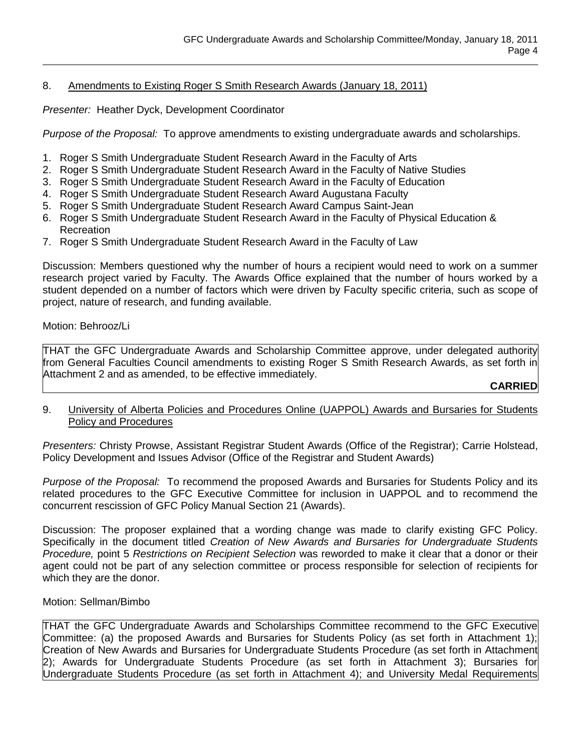## 8. Amendments to Existing Roger S Smith Research Awards (January 18, 2011)

*Presenter:* Heather Dyck, Development Coordinator

*Purpose of the Proposal:* To approve amendments to existing undergraduate awards and scholarships.

- 1. Roger S Smith Undergraduate Student Research Award in the Faculty of Arts
- 2. Roger S Smith Undergraduate Student Research Award in the Faculty of Native Studies
- 3. Roger S Smith Undergraduate Student Research Award in the Faculty of Education
- 4. Roger S Smith Undergraduate Student Research Award Augustana Faculty
- 5. Roger S Smith Undergraduate Student Research Award Campus Saint-Jean
- 6. Roger S Smith Undergraduate Student Research Award in the Faculty of Physical Education & Recreation
- 7. Roger S Smith Undergraduate Student Research Award in the Faculty of Law

Discussion: Members questioned why the number of hours a recipient would need to work on a summer research project varied by Faculty. The Awards Office explained that the number of hours worked by a student depended on a number of factors which were driven by Faculty specific criteria, such as scope of project, nature of research, and funding available.

Motion: Behrooz/Li

THAT the GFC Undergraduate Awards and Scholarship Committee approve, under delegated authority from General Faculties Council amendments to existing Roger S Smith Research Awards, as set forth in Attachment 2 and as amended, to be effective immediately.

# **CARRIED**

## 9. University of Alberta Policies and Procedures Online (UAPPOL) Awards and Bursaries for Students Policy and Procedures

*Presenters:* Christy Prowse, Assistant Registrar Student Awards (Office of the Registrar); Carrie Holstead, Policy Development and Issues Advisor (Office of the Registrar and Student Awards)

*Purpose of the Proposal:* To recommend the proposed Awards and Bursaries for Students Policy and its related procedures to the GFC Executive Committee for inclusion in UAPPOL and to recommend the concurrent rescission of GFC Policy Manual Section 21 (Awards).

Discussion: The proposer explained that a wording change was made to clarify existing GFC Policy. Specifically in the document titled *Creation of New Awards and Bursaries for Undergraduate Students Procedure,* point 5 *Restrictions on Recipient Selection* was reworded to make it clear that a donor or their agent could not be part of any selection committee or process responsible for selection of recipients for which they are the donor.

## Motion: Sellman/Bimbo

THAT the GFC Undergraduate Awards and Scholarships Committee recommend to the GFC Executive Committee: (a) the proposed Awards and Bursaries for Students Policy (as set forth in Attachment 1); Creation of New Awards and Bursaries for Undergraduate Students Procedure (as set forth in Attachment 2); Awards for Undergraduate Students Procedure (as set forth in Attachment 3); Bursaries for Undergraduate Students Procedure (as set forth in Attachment 4); and University Medal Requirements